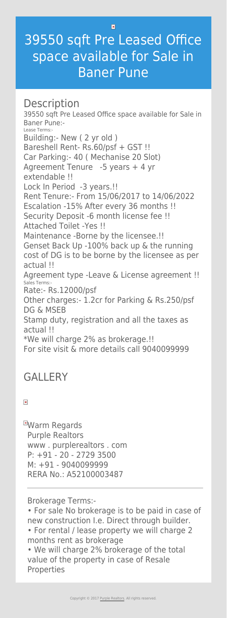$\vert \mathbf{x} \vert$ 

# 39550 sqft Pre Leased Office space available for Sale in Baner Pune

## **Description**

39550 sqft Pre Leased Office space available for Sale in Baner Pune:- Lease Terms:- Building:- New ( 2 yr old ) Bareshell Rent- Rs.60/psf + GST !! Car Parking:- 40 ( Mechanise 20 Slot) Agreement Tenure -5 years + 4 yr extendable !! Lock In Period -3 years.!! Rent Tenure:- From 15/06/2017 to 14/06/2022 Escalation -15% After every 36 months !! Security Deposit -6 month license fee !! Attached Toilet -Yes !! Maintenance -Borne by the licensee.!! Genset Back Up -100% back up & the running cost of DG is to be borne by the licensee as per actual !! Agreement type -Leave & License agreement !! Sales Terms:- Rate:- Rs.12000/psf Other charges:- 1.2cr for Parking & Rs.250/psf DG & MSEB

**EWarm Regards** Purple Realtors www . purplerealtors . com P: +91 - 20 - 2729 3500 M: +91 - 9040099999 RERA No.: A52100003487

Stamp duty, registration and all the taxes as actual !! \*We will charge 2% as brokerage.!! For site visit & more details call 9040099999

## **GALLERY**

#### $\pmb{\times}$

Brokerage Terms:-

• For sale No brokerage is to be paid in case of new construction I.e. Direct through builder.

• For rental / lease property we will charge 2 months rent as brokerage

• We will charge 2% brokerage of the total value of the property in case of Resale Properties